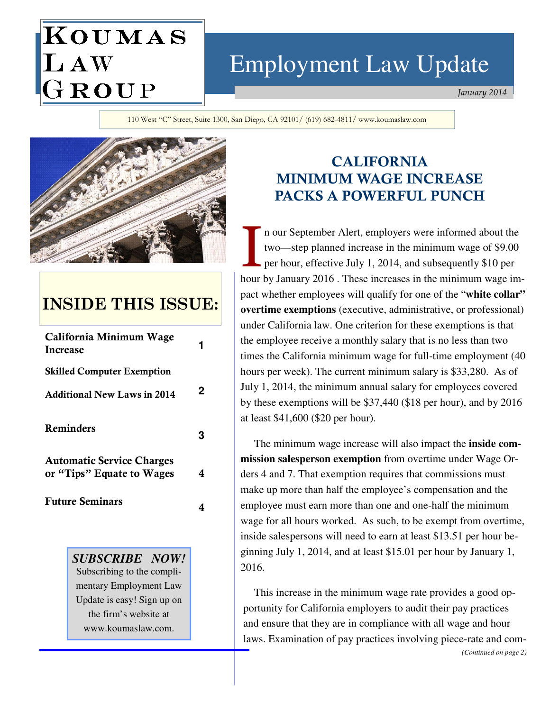# KOUMAS LAW GROUP

# Employment Law Update

 *January 2014*

110 West "C" Street, Suite 1300, San Diego, CA 92101/ (619) 682-4811/ www.koumaslaw.com



## **INSIDE THIS ISSUE:**

| California Minimum Wage<br>Increase |   |
|-------------------------------------|---|
| <b>Skilled Computer Exemption</b>   |   |
| <b>Additional New Laws in 2014</b>  | 2 |
| Reminders                           |   |
| <b>Automatic Service Charges</b>    |   |
| or "Tips" Equate to Wages           | 4 |
| <b>Future Seminars</b>              |   |

*SUBSCRIBE NOW!*  Subscribing to the complimentary Employment Law Update is easy! Sign up on the firm's website at www.koumaslaw.com.

## **CALIFORNIA MINIMUM WAGE INCREASE PACKS A POWERFUL PUNCH**

n our September Alert, employers were informed about the two—step planned increase in the minimum wage of \$9.00 per hour, effective July 1, 2014, and subsequently \$10 per hour by January 2016 . These increases in the minimum wage impact whether employees will qualify for one of the "**white collar" overtime exemptions** (executive, administrative, or professional) under California law. One criterion for these exemptions is that the employee receive a monthly salary that is no less than two times the California minimum wage for full-time employment (40 hours per week). The current minimum salary is \$33,280. As of July 1, 2014, the minimum annual salary for employees covered by these exemptions will be \$37,440 (\$18 per hour), and by 2016 at least \$41,600 (\$20 per hour).

 The minimum wage increase will also impact the **inside commission salesperson exemption** from overtime under Wage Orders 4 and 7. That exemption requires that commissions must make up more than half the employee's compensation and the employee must earn more than one and one-half the minimum wage for all hours worked. As such, to be exempt from overtime, inside salespersons will need to earn at least \$13.51 per hour beginning July 1, 2014, and at least \$15.01 per hour by January 1, 2016.

 This increase in the minimum wage rate provides a good opportunity for California employers to audit their pay practices and ensure that they are in compliance with all wage and hour laws. Examination of pay practices involving piece-rate and com- *(Continued on page 2)*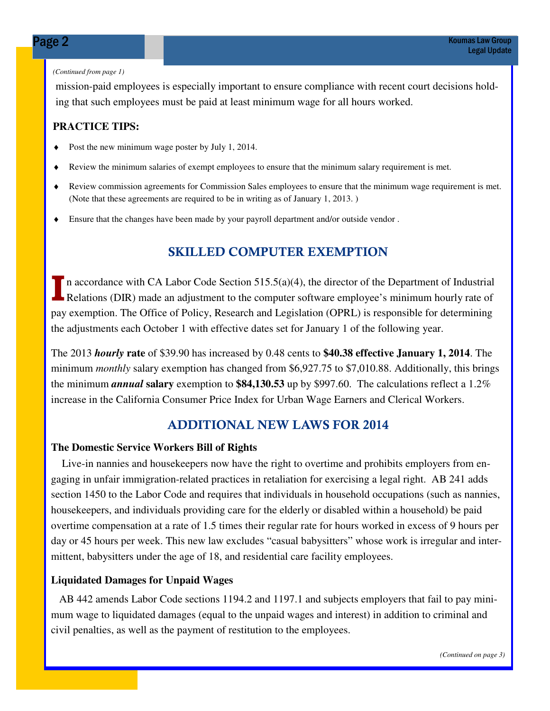#### *(Continued from page 1)*

mission-paid employees is especially important to ensure compliance with recent court decisions holding that such employees must be paid at least minimum wage for all hours worked.

#### **PRACTICE TIPS:**

- ♦ Post the new minimum wage poster by July 1, 2014.
- ♦ Review the minimum salaries of exempt employees to ensure that the minimum salary requirement is met.
- ♦ Review commission agreements for Commission Sales employees to ensure that the minimum wage requirement is met. (Note that these agreements are required to be in writing as of January 1, 2013. )
- ♦ Ensure that the changes have been made by your payroll department and/or outside vendor .

### **SKILLED COMPUTER EXEMPTION**

In accordance with CA Labor Code Section 515.5(a)(4), the director of the Department of Industrial **Relations (DIR)** made an adjustment to the computer software employee's minimum hourly rate of pay exemption. The Office of Policy, Research and Legislation (OPRL) is responsible for determining the adjustments each October 1 with effective dates set for January 1 of the following year.

The 2013 *hourly* **rate** of \$39.90 has increased by 0.48 cents to **\$40.38 effective January 1, 2014**. The minimum *monthly* salary exemption has changed from \$6,927.75 to \$7,010.88. Additionally, this brings the minimum *annual* **salary** exemption to **\$84,130.53** up by \$997.60. The calculations reflect a 1.2% increase in the California Consumer Price Index for Urban Wage Earners and Clerical Workers.

### **ADDITIONAL NEW LAWS FOR 2014**

#### **The Domestic Service Workers Bill of Rights**

 Live-in nannies and housekeepers now have the right to overtime and prohibits employers from engaging in unfair immigration-related practices in retaliation for exercising a legal right. AB 241 adds section 1450 to the Labor Code and requires that individuals in household occupations (such as nannies, housekeepers, and individuals providing care for the elderly or disabled within a household) be paid overtime compensation at a rate of 1.5 times their regular rate for hours worked in excess of 9 hours per day or 45 hours per week. This new law excludes "casual babysitters" whose work is irregular and intermittent, babysitters under the age of 18, and residential care facility employees.

#### **Liquidated Damages for Unpaid Wages**

 AB 442 amends Labor Code sections 1194.2 and 1197.1 and subjects employers that fail to pay minimum wage to liquidated damages (equal to the unpaid wages and interest) in addition to criminal and civil penalties, as well as the payment of restitution to the employees.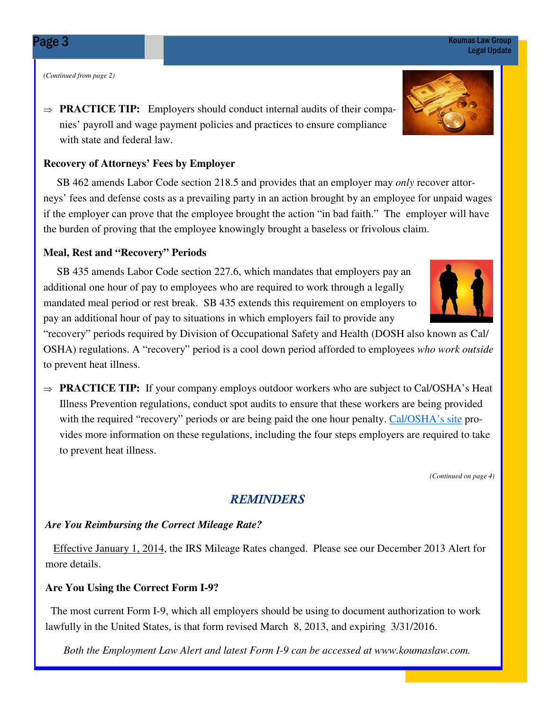*(Continued from page 2)* 

⇒ **PRACTICE TIP:** Employers should conduct internal audits of their companies' payroll and wage payment policies and practices to ensure compliance with state and federal law.

#### **Recovery of Attorneys' Fees by Employer**

 SB 462 amends Labor Code section 218.5 and provides that an employer may *only* recover attorneys' fees and defense costs as a prevailing party in an action brought by an employee for unpaid wages if the employer can prove that the employee brought the action "in bad faith." The employer will have the burden of proving that the employee knowingly brought a baseless or frivolous claim.

#### **Meal, Rest and "Recovery" Periods**

 SB 435 amends Labor Code section 227.6, which mandates that employers pay an additional one hour of pay to employees who are required to work through a legally mandated meal period or rest break. SB 435 extends this requirement on employers to pay an additional hour of pay to situations in which employers fail to provide any

"recovery" periods required by Division of Occupational Safety and Health (DOSH also known as Cal/ OSHA) regulations. A "recovery" period is a cool down period afforded to employees *who work outside* to prevent heat illness.

⇒ **PRACTICE TIP:** If your company employs outdoor workers who are subject to Cal/OSHA's Heat Illness Prevention regulations, conduct spot audits to ensure that these workers are being provided with the required "recovery" periods or are being paid the one hour penalty. Cal/OSHA's site provides more information on these regulations, including the four steps employers are required to take to prevent heat illness.

*(Continued on page 4)* 

#### *REMINDERS*

#### *Are You Reimbursing the Correct Mileage Rate?*

 Effective January 1, 2014, the IRS Mileage Rates changed. Please see our December 2013 Alert for more details.

#### **Are You Using the Correct Form I-9?**

The most current Form I-9, which all employers should be using to document authorization to work lawfully in the United States, is that form revised March 8, 2013, and expiring 3/31/2016.

*Both the Employment Law Alert and latest Form I-9 can be accessed at www.koumaslaw.com.* 



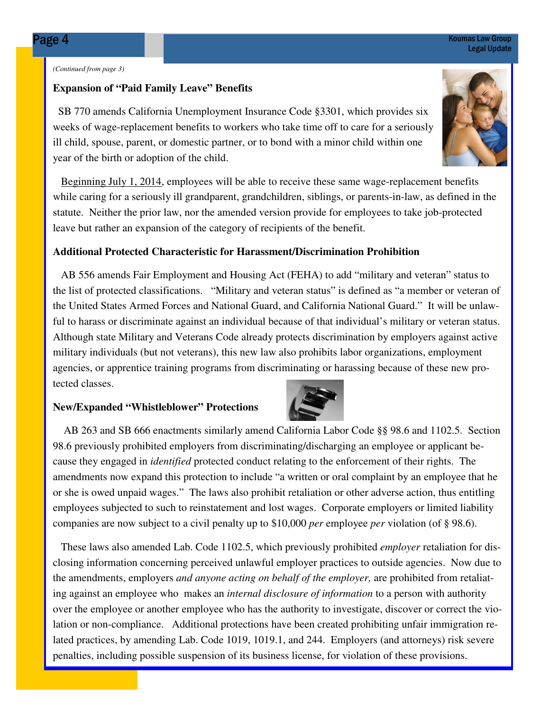#### *(Continued from page 3)*

#### **Expansion of "Paid Family Leave" Benefits**

 SB 770 amends California Unemployment Insurance Code §3301, which provides six weeks of wage-replacement benefits to workers who take time off to care for a seriously ill child, spouse, parent, or domestic partner, or to bond with a minor child within one year of the birth or adoption of the child.

Beginning July 1, 2014, employees will be able to receive these same wage-replacement benefits while caring for a seriously ill grandparent, grandchildren, siblings, or parents-in-law, as defined in the statute. Neither the prior law, nor the amended version provide for employees to take job-protected leave but rather an expansion of the category of recipients of the benefit.

#### **Additional Protected Characteristic for Harassment/Discrimination Prohibition**

 AB 556 amends Fair Employment and Housing Act (FEHA) to add "military and veteran" status to the list of protected classifications. "Military and veteran status" is defined as "a member or veteran of the United States Armed Forces and National Guard, and California National Guard." It will be unlawful to harass or discriminate against an individual because of that individual's military or veteran status. Although state Military and Veterans Code already protects discrimination by employers against active military individuals (but not veterans), this new law also prohibits labor organizations, employment agencies, or apprentice training programs from discriminating or harassing because of these new protected classes.

#### **New/Expanded "Whistleblower" Protections**

 AB 263 and SB 666 enactments similarly amend California Labor Code §§ 98.6 and 1102.5. Section 98.6 previously prohibited employers from discriminating/discharging an employee or applicant because they engaged in *identified* protected conduct relating to the enforcement of their rights. The amendments now expand this protection to include "a written or oral complaint by an employee that he or she is owed unpaid wages." The laws also prohibit retaliation or other adverse action, thus entitling employees subjected to such to reinstatement and lost wages. Corporate employers or limited liability companies are now subject to a civil penalty up to \$10,000 *per* employee *per* violation (of § 98.6).

 These laws also amended Lab. Code 1102.5, which previously prohibited *employer* retaliation for disclosing information concerning perceived unlawful employer practices to outside agencies. Now due to the amendments, employers *and anyone acting on behalf of the employer,* are prohibited from retaliating against an employee who makes an *internal disclosure of information* to a person with authority over the employee or another employee who has the authority to investigate, discover or correct the violation or non-compliance. Additional protections have been created prohibiting unfair immigration related practices, by amending Lab. Code 1019, 1019.1, and 244. Employers (and attorneys) risk severe penalties, including possible suspension of its business license, for violation of these provisions.